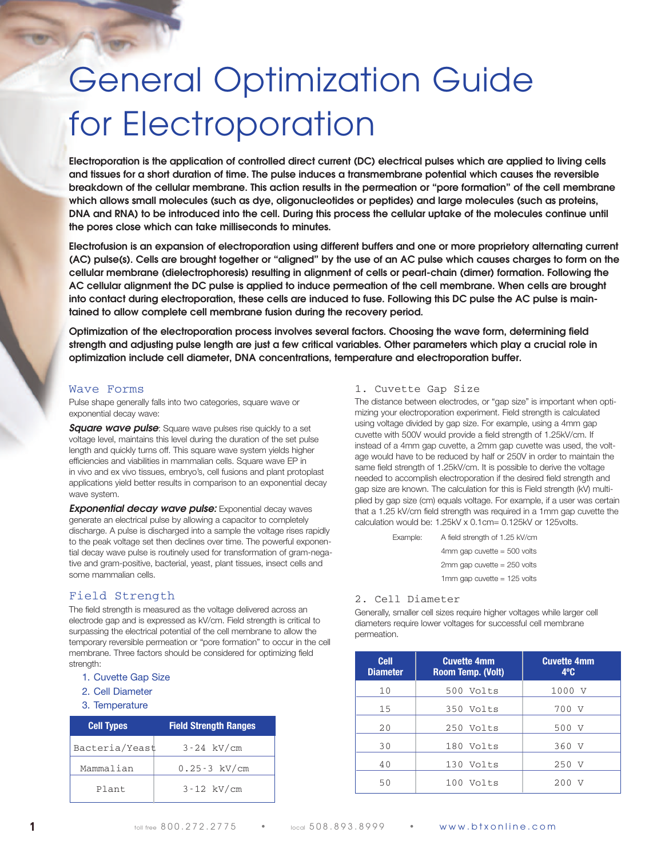## General Optimization Guide for Electroporation

Electroporation is the application of controlled direct current (DC) electrical pulses which are applied to living cells and tissues for a short duration of time. The pulse induces a transmembrane potential which causes the reversible breakdown of the cellular membrane. This action results in the permeation or "pore formation" of the cell membrane **which allows small molecules (such as dye, oligonucleotides or peptides) and large molecules (such as proteins,** DNA and RNA) to be introduced into the cell. During this process the cellular uptake of the molecules continue until **the pores close which can take milliseconds to minutes.**

Electrofusion is an expansion of electroporation using different buffers and one or more proprietory alternating current (AC) pulse(s). Cells are brought together or "aligned" by the use of an AC pulse which causes charges to form on the **cellular membrane (dielectrophoresis) resulting in alignment of cells or pearl-chain (dimer) formation. Following the** AC cellular alignment the DC pulse is applied to induce permeation of the cell membrane. When cells are brought into contact during electroporation, these cells are induced to fuse. Following this DC pulse the AC pulse is main**tained to allow complete cell membrane fusion during the recovery period.**

**Optimization of the electroporation process involves several factors. Choosing the wave form, determining field** strength and adjusting pulse length are just a few critical variables. Other parameters which play a crucial role in **optimization include cell diameter, DNA concentrations, temperature and electroporation buffer.**

## Wave Forms

Pulse shape generally falls into two categories, square wave or exponential decay wave:

*Square wave pulse*: Square wave pulses rise quickly to a set voltage level, maintains this level during the duration of the set pulse length and quickly turns off. This square wave system yields higher efficiencies and viabilities in mammalian cells. Square wave EP in in vivo and ex vivo tissues, embryo's, cell fusions and plant protoplast applications yield better results in comparison to an exponential decay wave system.

*Exponential decay wave pulse:* Exponential decay waves generate an electrical pulse by allowing a capacitor to completely discharge. A pulse is discharged into a sample the voltage rises rapidly to the peak voltage set then declines over time. The powerful exponential decay wave pulse is routinely used for transformation of gram-negative and gram-positive, bacterial, yeast, plant tissues, insect cells and some mammalian cells.

## Field Strength

The field strength is measured as the voltage delivered across an electrode gap and is expressed as kV/cm. Field strength is critical to surpassing the electrical potential of the cell membrane to allow the temporary reversible permeation or "pore formation" to occur in the cell membrane. Three factors should be considered for optimizing field strength:

- 1. Cuvette Gap Size
- 2. Cell Diameter
- 3. Temperature

| <b>Cell Types</b> | <b>Field Strength Ranges</b> |
|-------------------|------------------------------|
| Bacteria/Yeast    | $3 - 24$ kV/cm               |
| Mammalian         | $0.25 - 3$ kV/cm             |
| Plant             | $3 - 12$ kV/cm               |

## 1. Cuvette Gap Size

The distance between electrodes, or "gap size" is important when optimizing your electroporation experiment. Field strength is calculated using voltage divided by gap size. For example, using a 4mm gap cuvette with 500V would provide a field strength of 1.25kV/cm. If instead of a 4mm gap cuvette, a 2mm gap cuvette was used, the voltage would have to be reduced by half or 250V in order to maintain the same field strength of 1.25kV/cm. It is possible to derive the voltage needed to accomplish electroporation if the desired field strength and gap size are known. The calculation for this is Field strength (kV) multiplied by gap size (cm) equals voltage. For example, if a user was certain that a 1.25 kV/cm field strength was required in a 1mm gap cuvette the calculation would be: 1.25kV x 0.1cm= 0.125kV or 125volts.

| Example: | A field strength of 1.25 kV/cm  |  |
|----------|---------------------------------|--|
|          | $4mm$ gap cuvette = 500 volts   |  |
|          | $2mm$ gap cuvette = $250$ volts |  |
|          | 1mm gap cuvette $= 125$ volts   |  |

#### 2. Cell Diameter

Generally, smaller cell sizes require higher voltages while larger cell diameters require lower voltages for successful cell membrane permeation.

| <b>Cell</b><br><b>Diameter</b> | <b>Cuvette 4mm</b><br>Room Temp. (Volt) | <b>Cuvette 4mm</b><br>$4^{\circ}$ C |
|--------------------------------|-----------------------------------------|-------------------------------------|
| 10                             | 500 Volts                               | 1000 V                              |
| 15                             | 350 Volts                               | 700 V                               |
| 20                             | 250 Volts                               | 500 V                               |
| 30                             | 180 Volts                               | 360 V                               |
| 40                             | 130 Volts                               | 250 V                               |
| 50                             | $100$ Volts                             | 200<br>V                            |